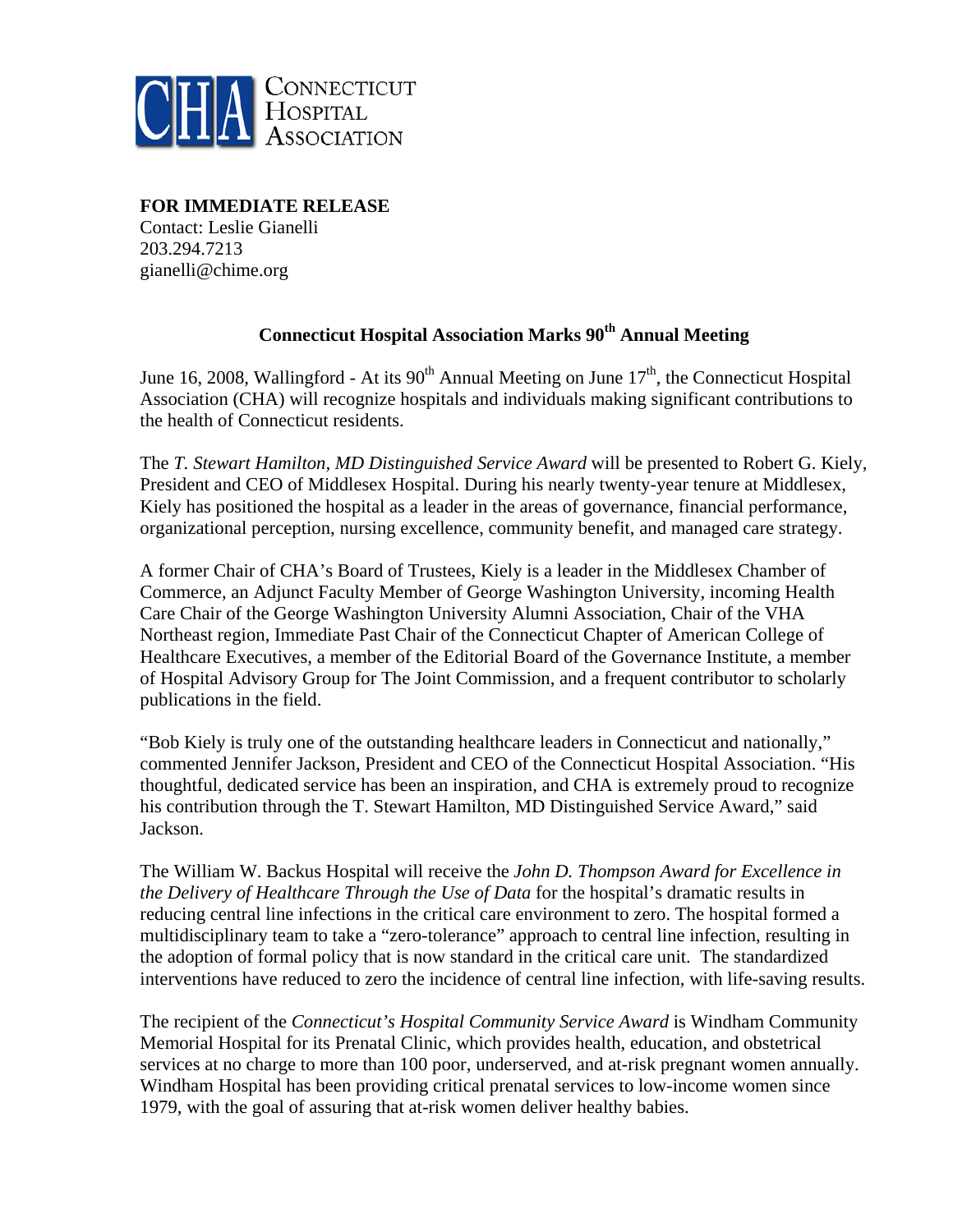

**FOR IMMEDIATE RELEASE** 

Contact: Leslie Gianelli 203.294.7213 gianelli@chime.org

## **Connecticut Hospital Association Marks 90th Annual Meeting**

June 16, 2008, Wallingford - At its  $90<sup>th</sup>$  Annual Meeting on June  $17<sup>th</sup>$ , the Connecticut Hospital Association (CHA) will recognize hospitals and individuals making significant contributions to the health of Connecticut residents.

The *T. Stewart Hamilton, MD Distinguished Service Award* will be presented to Robert G. Kiely, President and CEO of Middlesex Hospital. During his nearly twenty-year tenure at Middlesex, Kiely has positioned the hospital as a leader in the areas of governance, financial performance, organizational perception, nursing excellence, community benefit, and managed care strategy.

A former Chair of CHA's Board of Trustees, Kiely is a leader in the Middlesex Chamber of Commerce, an Adjunct Faculty Member of George Washington University, incoming Health Care Chair of the George Washington University Alumni Association, Chair of the VHA Northeast region, Immediate Past Chair of the Connecticut Chapter of American College of Healthcare Executives, a member of the Editorial Board of the Governance Institute, a member of Hospital Advisory Group for The Joint Commission, and a frequent contributor to scholarly publications in the field.

"Bob Kiely is truly one of the outstanding healthcare leaders in Connecticut and nationally," commented Jennifer Jackson, President and CEO of the Connecticut Hospital Association. "His thoughtful, dedicated service has been an inspiration, and CHA is extremely proud to recognize his contribution through the T. Stewart Hamilton, MD Distinguished Service Award," said Jackson.

The William W. Backus Hospital will receive the *John D. Thompson Award for Excellence in the Delivery of Healthcare Through the Use of Data* for the hospital's dramatic results in reducing central line infections in the critical care environment to zero. The hospital formed a multidisciplinary team to take a "zero-tolerance" approach to central line infection, resulting in the adoption of formal policy that is now standard in the critical care unit. The standardized interventions have reduced to zero the incidence of central line infection, with life-saving results.

The recipient of the *Connecticut's Hospital Community Service Award* is Windham Community Memorial Hospital for its Prenatal Clinic, which provides health, education, and obstetrical services at no charge to more than 100 poor, underserved, and at-risk pregnant women annually. Windham Hospital has been providing critical prenatal services to low-income women since 1979, with the goal of assuring that at-risk women deliver healthy babies.